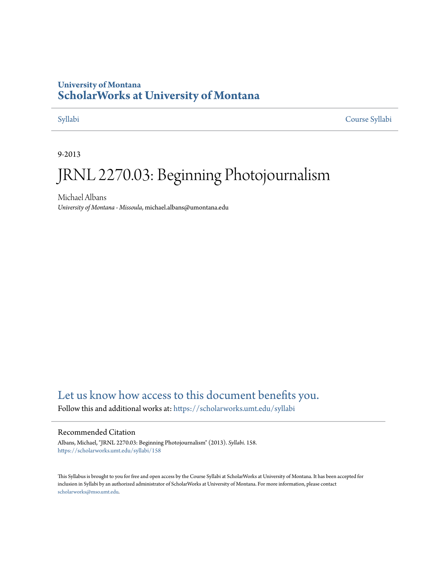#### **University of Montana [ScholarWorks at University of Montana](https://scholarworks.umt.edu?utm_source=scholarworks.umt.edu%2Fsyllabi%2F158&utm_medium=PDF&utm_campaign=PDFCoverPages)**

[Syllabi](https://scholarworks.umt.edu/syllabi?utm_source=scholarworks.umt.edu%2Fsyllabi%2F158&utm_medium=PDF&utm_campaign=PDFCoverPages) [Course Syllabi](https://scholarworks.umt.edu/course_syllabi?utm_source=scholarworks.umt.edu%2Fsyllabi%2F158&utm_medium=PDF&utm_campaign=PDFCoverPages)

9-2013

# JRNL 2270.03: Beginning Photojournalism

Michael Albans *University of Montana - Missoula*, michael.albans@umontana.edu

#### [Let us know how access to this document benefits you.](https://goo.gl/forms/s2rGfXOLzz71qgsB2)

Follow this and additional works at: [https://scholarworks.umt.edu/syllabi](https://scholarworks.umt.edu/syllabi?utm_source=scholarworks.umt.edu%2Fsyllabi%2F158&utm_medium=PDF&utm_campaign=PDFCoverPages)

#### Recommended Citation

Albans, Michael, "JRNL 2270.03: Beginning Photojournalism" (2013). *Syllabi*. 158. [https://scholarworks.umt.edu/syllabi/158](https://scholarworks.umt.edu/syllabi/158?utm_source=scholarworks.umt.edu%2Fsyllabi%2F158&utm_medium=PDF&utm_campaign=PDFCoverPages)

This Syllabus is brought to you for free and open access by the Course Syllabi at ScholarWorks at University of Montana. It has been accepted for inclusion in Syllabi by an authorized administrator of ScholarWorks at University of Montana. For more information, please contact [scholarworks@mso.umt.edu](mailto:scholarworks@mso.umt.edu).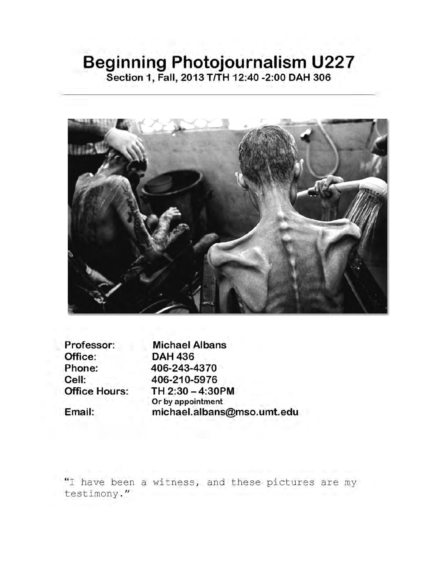# **Beginning Photojournalism U227**

**Section 1, Fall, 2013 T/TH 12:40 -2:00 DAH 306**



**Professor: Michael Albans Phone: Cell: Office Hours:**

**Email:**

**Office: DAH 436 406-243-4370 406-210-5976 TH 2:30-4:30PM Or by appointment michael.albans@mso.umt.edu**

"I have been a witness, and these pictures are my testimony."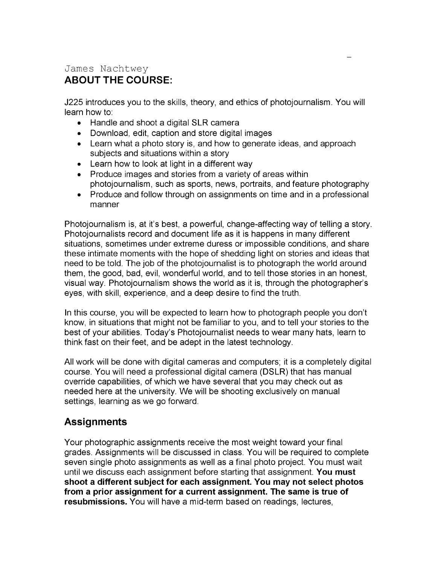#### James Nachtwey **ABOUT THE COURSE:**

J225 introduces you to the skills, theory, and ethics of photojournalism. You will learn how to:

- Handle and shoot a digital SLR camera
- Download, edit, caption and store digital images
- Learn what a photo story is, and how to generate ideas, and approach subjects and situations within a story
- Learn how to look at light in a different way
- Produce images and stories from a variety of areas within photojournalism, such as sports, news, portraits, and feature photography
- Produce and follow through on assignments on time and in a professional manner

Photojournalism is, at it's best, a powerful, change-affecting way of telling a story. Photojournalists record and document life as it is happens in many different situations, sometimes under extreme duress or impossible conditions, and share these intimate moments with the hope of shedding light on stories and ideas that need to be told. The job of the photojournalist is to photograph the world around them, the good, bad, evil, wonderful world, and to tell those stories in an honest, visual way. Photojournalism shows the world as it is, through the photographer's eyes, with skill, experience, and a deep desire to find the truth.

In this course, you will be expected to learn how to photograph people you don't know, in situations that might not be familiar to you, and to tell your stories to the best of your abilities. Today's Photojournalist needs to wear many hats, learn to think fast on their feet, and be adept in the latest technology.

All work will be done with digital cameras and computers; it is a completely digital course. You will need a professional digital camera (DSLR) that has manual override capabilities, of which we have several that you may check out as needed here at the university. We will be shooting exclusively on manual settings, learning as we go forward.

### **Assignments**

Your photographic assignments receive the most weight toward your final grades. Assignments will be discussed in class. You will be required to complete seven single photo assignments as well as a final photo project. You must wait until we discuss each assignment before starting that assignment. **You must shoot a different subject for each assignment. You may not select photos from a prior assignment for a current assignment. The same is true of resubmissions.** You will have a mid-term based on readings, lectures,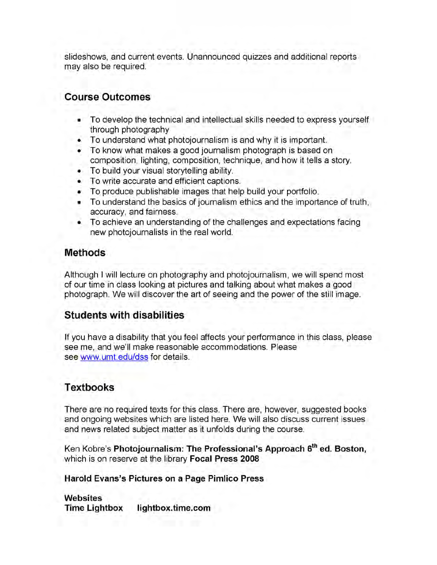slideshows, and current events. Unannounced quizzes and additional reports may also be required.

#### **Course Outcomes**

- To develop the technical and intellectual skills needed to express yourself through photography
- To understand what photojournalism is and why it is important.
- To know what makes a good journalism photograph is based on composition, lighting, composition, technique, and how it tells a story.
- To build your visual storytelling ability.
- To write accurate and efficient captions.
- To produce publishable images that help build your portfolio.
- To understand the basics of journalism ethics and the importance of truth, accuracy, and fairness.
- To achieve an understanding of the challenges and expectations facing new photojournalists in the real world.

#### **Methods**

Although I will lecture on photography and photojournalism, we will spend most of our time in class looking at pictures and talking about what makes a good photograph. We will discover the art of seeing and the power of the still image.

#### **Students with disabilities**

If you have a disability that you feel affects your performance in this class, please see me, and we'll make reasonable accommodations. Please see www.umt.edu/dss for details.

#### **Textbooks**

There are no required texts for this class. There are, however, suggested books and ongoing websites which are listed here. We will also discuss current issues and news related subject matter as it unfolds during the course.

Ken Kobre's **Photojournalism: The Professional's Approach 6th ed. Boston,** which is on reserve at the library **Focal Press 2008**

**Harold Evans's Pictures on a Page Pimlico Press**

**Websites Time Lightbox lightbox.time.com**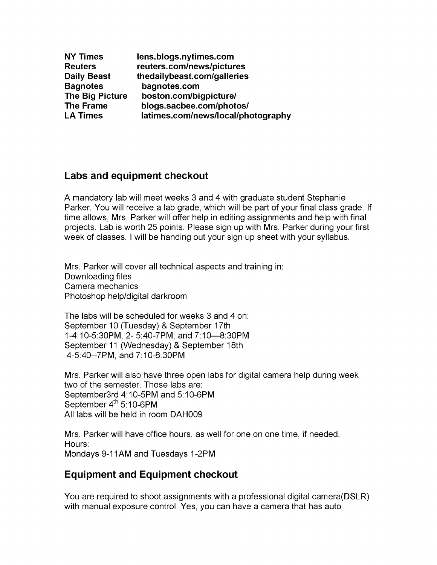| <b>NY Times</b>        | lens.blogs.nytimes.com             |
|------------------------|------------------------------------|
| <b>Reuters</b>         | reuters.com/news/pictures          |
| <b>Daily Beast</b>     | thedailybeast.com/galleries        |
| <b>Bagnotes</b>        | bagnotes.com                       |
| <b>The Big Picture</b> | boston.com/bigpicture/             |
| <b>The Frame</b>       | blogs.sacbee.com/photos/           |
| <b>LA Times</b>        | latimes.com/news/local/photography |

#### **Labs and equipment checkout**

A mandatory lab will meet weeks 3 and 4 with graduate student Stephanie Parker. You will receive a lab grade, which will be part of your final class grade. If time allows, Mrs. Parker will offer help in editing assignments and help with final projects. Lab is worth 25 points. Please sign up with Mrs. Parker during your first week of classes. I will be handing out your sign up sheet with your syllabus.

Mrs. Parker will cover all technical aspects and training in: Downloading files Camera mechanics Photoshop help/digital darkroom

The labs will be scheduled for weeks 3 and 4 on: September 10 (Tuesday) & September 17th 1-4:10-5:30PM, 2- 5:40-7PM, and 7:10—8:30PM September 11 (Wednesday) & September 18th 4-5:40—7PM, and 7:10-8:30PM

Mrs. Parker will also have three open labs for digital camera help during week two of the semester. Those labs are: September3rd 4:10-5PM and 5:10-6PM September 4<sup>th</sup> 5:10-6PM All labs will be held in room DAH009

Mrs. Parker will have office hours, as well for one on one time, if needed. Hours: Mondays 9-11AM and Tuesdays 1-2PM

#### **Equipment and Equipment checkout**

You are required to shoot assignments with a professional digital camera(DSLR) with manual exposure control. Yes, you can have a camera that has auto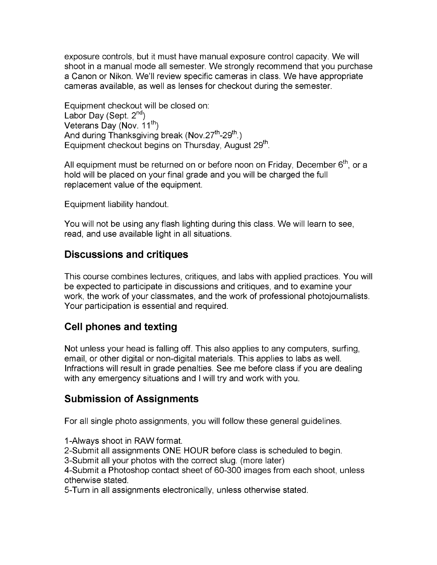exposure controls, but it must have manual exposure control capacity. We will shoot in a manual mode all semester. We strongly recommend that you purchase a Canon or Nikon. We'll review specific cameras in class. We have appropriate cameras available, as well as lenses for checkout during the semester.

Equipment checkout will be closed on: Labor Day (Sept.  $2^{nd}$ ) Veterans Day (Nov. 11<sup>th</sup>) And during Thanksgiving break (Nov.27<sup>th</sup>-29<sup>th</sup>.) Equipment checkout begins on Thursday, August 29<sup>th</sup>.

All equipment must be returned on or before noon on Friday, December 6<sup>th</sup>, or a hold will be placed on your final grade and you will be charged the full replacement value of the equipment.

Equipment liability handout.

You will not be using any flash lighting during this class. We will learn to see, read, and use available light in all situations.

#### **Discussions and critiques**

This course combines lectures, critiques, and labs with applied practices. You will be expected to participate in discussions and critiques, and to examine your work, the work of your classmates, and the work of professional photojournalists. Your participation is essential and required.

### **Cell phones and texting**

Not unless your head is falling off. This also applies to any computers, surfing, email, or other digital or non-digital materials. This applies to labs as well. Infractions will result in grade penalties. See me before class if you are dealing with any emergency situations and I will try and work with you.

#### **Submission of Assignments**

For all single photo assignments, you will follow these general guidelines.

1-Always shoot in RAW format.

2-Submit all assignments ONE HOUR before class is scheduled to begin.

3-Submit all your photos with the correct slug, (more later)

4-Submit a Photoshop contact sheet of 60-300 images from each shoot, unless otherwise stated.

5-Turn in all assignments electronically, unless otherwise stated.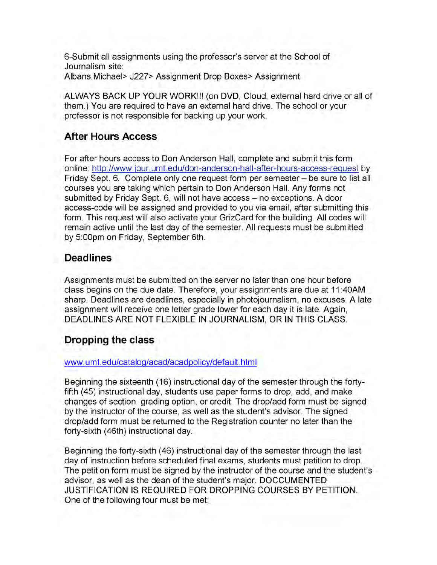6-Submit all assignments using the professor's server at the School of Journalism site: Albans.Michael> J227> Assignment Drop Boxes> Assignment

ALWAYS BACK UP YOUR WORK!!! (on DVD, Cloud, external hard drive or all of them.) You are required to have an external hard drive. The school or your professor is not responsible for backing up your work.

#### **After Hours Access**

For after hours access to Don Anderson Hall, complete and submit this form online: http://www.iour.umt.edu/don-anderson-hall-after-hours-access-request by Friday Sept. 6. Complete only one request form per semester - be sure to list all courses you are taking which pertain to Don Anderson Hall. Any forms not submitted by Friday Sept. 6, will not have access - no exceptions. A door access-code will be assigned and provided to you via email, after submitting this form. This request will also activate your GrizCard for the building. All codes will remain active until the last day of the semester. All requests must be submitted by 5:00pm on Friday, September 6th.

#### **Deadlines**

Assignments must be submitted on the server no later than one hour before class begins on the due date. Therefore, your assignments are due at 11:40AM sharp. Deadlines are deadlines, especially in photojournalism, no excuses. A late assignment will receive one letter grade lower for each day it is late. Again, DEADLINES ARE NOT FLEXIBLE IN JOURNALISM, OR IN THIS CLASS.

#### **Dropping the class**

#### www.umt.edu/cataloq/acad/acadpolicv/default.html

Beginning the sixteenth (16) instructional day of the semester through the fortyfifth (45) instructional day, students use paper forms to drop, add, and make changes of section, grading option, or credit. The drop/add form must be signed by the instructor of the course, as well as the student's advisor. The signed drop/add form must be returned to the Registration counter no later than the forty-sixth (46th) instructional day.

Beginning the forty-sixth (46) instructional day of the semester through the last day of instruction before scheduled final exams, students must petition to drop. The petition form must be signed by the instructor of the course and the student's advisor, as well as the dean of the student's major. DOCCUMENTED JUSTIFICATION IS REQUIRED FOR DROPPING COURSES BY PETITION. One of the following four must be met;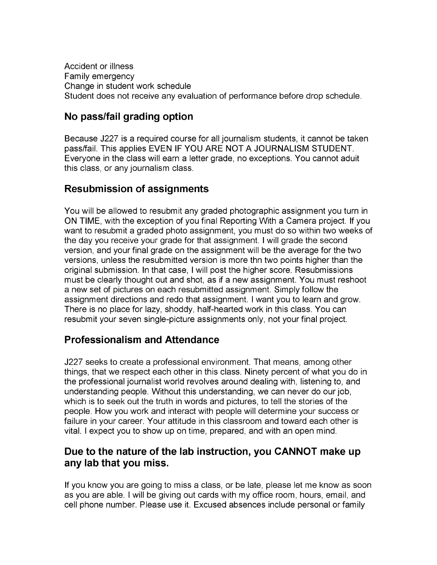Accident or illness Family emergency Change in student work schedule Student does not receive any evaluation of performance before drop schedule.

#### **No pass/fail grading option**

Because J227 is a required course for all journalism students, it cannot be taken pass/fail. This applies EVEN IF YOU ARE NOT A JOURNALISM STUDENT. Everyone in the class will earn a letter grade, no exceptions. You cannot aduit this class, or any journalism class.

#### **Resubmission of assignments**

You will be allowed to resubmit any graded photographic assignment you turn in ON TIME, with the exception of you final Reporting With a Camera project. If you want to resubmit a graded photo assignment, you must do so within two weeks of the day you receive your grade for that assignment. I will grade the second version, and your final grade on the assignment will be the average for the two versions, unless the resubmitted version is more thn two points higher than the original submission. In that case, I will post the higher score. Resubmissions must be clearly thought out and shot, as if a new assignment. You must reshoot a new set of pictures on each resubmitted assignment. Simply follow the assignment directions and redo that assignment. I want you to learn and grow. There is no place for lazy, shoddy, half-hearted work in this class. You can resubmit your seven single-picture assignments only, not your final project.

#### **Professionalism and Attendance**

J227 seeks to create a professional environment. That means, among other things, that we respect each other in this class. Ninety percent of what you do in the professional journalist world revolves around dealing with, listening to, and understanding people. Without this understanding, we can never do our job, which is to seek out the truth in words and pictures, to tell the stories of the people. How you work and interact with people will determine your success or failure in your career. Your attitude in this classroom and toward each other is vital. I expect you to show up on time, prepared, and with an open mind.

#### **Due to the nature of the lab instruction, you CANNOT make up any lab that you miss.**

If you know you are going to miss a class, or be late, please let me know as soon as you are able. I will be giving out cards with my office room, hours, email, and cell phone number. Please use it. Excused absences include personal or family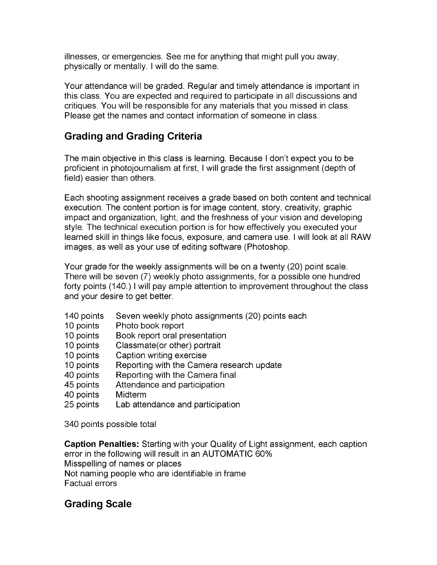illnesses, or emergencies. See me for anything that might pull you away, physically or mentally. I will do the same.

Your attendance will be graded. Regular and timely attendance is important in this class. You are expected and required to participate in all discussions and critiques. You will be responsible for any materials that you missed in class. Please get the names and contact information of someone in class.

### **Grading and Grading Criteria**

The main objective in this class is learning. Because I don't expect you to be proficient in photojournalism at first, I will grade the first assignment (depth of field) easier than others.

Each shooting assignment receives a grade based on both content and technical execution. The content portion is for image content, story, creativity, graphic impact and organization, light, and the freshness of your vision and developing style. The technical execution portion is for how effectively you executed your learned skill in things like focus, exposure, and camera use. I will look at all RAW images, as well as your use of editing software (Photoshop.

Your grade for the weekly assignments will be on a twenty (20) point scale. There will be seven (7) weekly photo assignments, for a possible one hundred forty points (140.) I will pay ample attention to improvement throughout the class and your desire to get better.

- 140 points Seven weekly photo assignments (20) points each
- 10 points Photo book report
- 10 points Book report oral presentation
- 10 points Classmate(or other) portrait
- 10 points Caption writing exercise
- 10 points Reporting with the Camera research update
- 40 points Reporting with the Camera final
- 45 points Attendance and participation
- 40 points Midterm
- 25 points Lab attendance and participation

340 points possible total

**Caption Penalties:** Starting with your Quality of Light assignment, each caption error in the following will result in an AUTOMATIC 60% Misspelling of names or places Not naming people who are identifiable in frame Factual errors

### **Grading Scale**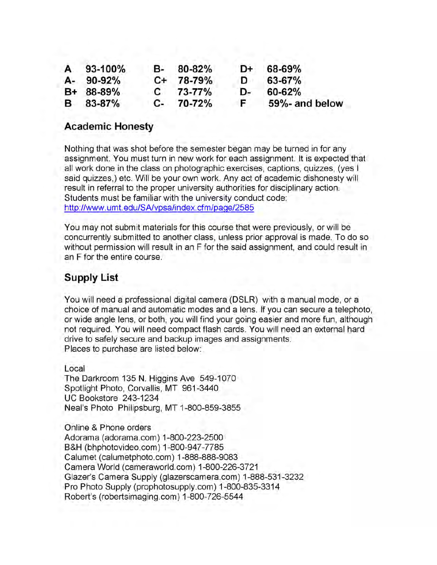| A 93-100%   | B- | 80-82%       | D+  | 68-69%         |
|-------------|----|--------------|-----|----------------|
| A- 90-92%   |    | C+ 78-79%    | D   | 63-67%         |
| $B+ 88-89%$ |    | $C = 73-77%$ | D÷. | 60-62%         |
| B 83-87%    |    | $C-70-72%$   | F.  | 59%- and below |

#### **Academic Honesty**

Nothing that was shot before the semester began may be turned in for any assignment. You must turn in new work for each assignment. It is expected that all work done in the class on photographic exercises, captions, quizzes, (yes I said quizzes,) etc. Will be your own work. Any act of academic dishonesty will result in referral to the proper university authorities for disciplinary action. Students must be familiar with the university conduct code: http://www.umt.edu/SA/vpsa/index.cfm/paqe/2585

You may not submit materials for this course that were previously, or will be concurrently submitted to another class, unless prior approval is made. To do so without permission will result in an F for the said assignment, and could result in an F for the entire course.

#### **Supply List**

You will need a professional digital camera (DSLR) with a manual mode, or a choice of manual and automatic modes and a lens. If you can secure a telephoto, or wide angle lens, or both, you will find your going easier and more fun, although not required. You will need compact flash cards. You will need an external hard drive to safely secure and backup images and assignments. Places to purchase are listed below:

Local The Darkroom 135 N. Higgins Ave 549-1070 Spotlight Photo, Corvallis, MT 961-3440 UC Bookstore 243-1234 Neal's Photo Philipsburg, MT 1-800-859-3855

Online & Phone orders Adorama (adorama.com) 1-800-223-2500 B&H (bhphotovideo.com) 1-800-947-7785 Calumet (calumetphoto.com) 1-888-888-9083 Camera World (cameraworld.com) 1-800-226-3721 Glazer's Camera Supply (glazerscamera.com) 1-888-531-3232 Pro Photo Supply (prophotosupply.com) 1-800-835-3314 Robert's (robertsimaging.com) 1-800-726-5544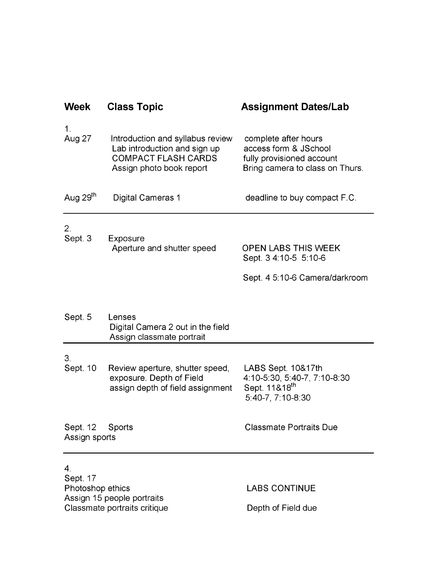| <b>Week</b>                                    | <b>Class Topic</b>                                                                                                         | <b>Assignment Dates/Lab</b>                                                                                   |  |  |
|------------------------------------------------|----------------------------------------------------------------------------------------------------------------------------|---------------------------------------------------------------------------------------------------------------|--|--|
| $\mathbf 1$ .<br>Aug 27                        | Introduction and syllabus review<br>Lab introduction and sign up<br><b>COMPACT FLASH CARDS</b><br>Assign photo book report | complete after hours<br>access form & JSchool<br>fully provisioned account<br>Bring camera to class on Thurs. |  |  |
| Aug 29 <sup>th</sup>                           | <b>Digital Cameras 1</b>                                                                                                   | deadline to buy compact F.C.                                                                                  |  |  |
| 2.<br>Sept. 3                                  | Exposure<br>Aperture and shutter speed                                                                                     | <b>OPEN LABS THIS WEEK</b><br>Sept. 3 4:10-5 5:10-6<br>Sept. 4 5:10-6 Camera/darkroom                         |  |  |
| Sept. 5                                        | Lenses<br>Digital Camera 2 out in the field<br>Assign classmate portrait                                                   |                                                                                                               |  |  |
| 3.<br>Sept. 10                                 | Review aperture, shutter speed,<br>exposure. Depth of Field<br>assign depth of field assignment                            | LABS Sept. 10&17th<br>4:10-5:30, 5:40-7, 7:10-8:30<br>Sept. 11&18 <sup>th</sup><br>5:40-7, 7:10-8:30          |  |  |
| Sept. 12<br>Assign sports                      | Sports                                                                                                                     | <b>Classmate Portraits Due</b>                                                                                |  |  |
| 4 <sub>1</sub><br>Sept. 17                     |                                                                                                                            |                                                                                                               |  |  |
| Photoshop ethics<br>Assign 15 people portraits |                                                                                                                            | <b>LABS CONTINUE</b>                                                                                          |  |  |
|                                                | Classmate portraits critique                                                                                               | Depth of Field due                                                                                            |  |  |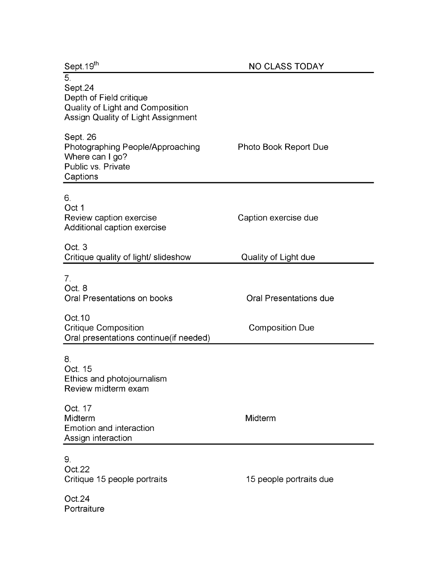| Sept.19th                                                                                                                      | <b>NO CLASS TODAY</b>                                   |  |  |
|--------------------------------------------------------------------------------------------------------------------------------|---------------------------------------------------------|--|--|
| $\overline{5}$<br>Sept.24<br>Depth of Field critique<br>Quality of Light and Composition<br>Assign Quality of Light Assignment |                                                         |  |  |
| Sept. 26<br>Photographing People/Approaching<br>Where can I go?<br>Public vs. Private<br>Captions                              | Photo Book Report Due                                   |  |  |
| 6.<br>Oct 1<br>Review caption exercise<br>Additional caption exercise                                                          | Caption exercise due                                    |  |  |
| Oct. 3<br>Critique quality of light/ slideshow                                                                                 | Quality of Light due                                    |  |  |
| 7 <sub>1</sub><br>Oct. 8<br>Oral Presentations on books<br>Oct. 10<br><b>Critique Composition</b>                              | <b>Oral Presentations due</b><br><b>Composition Due</b> |  |  |
| Oral presentations continue(if needed)                                                                                         |                                                         |  |  |
| 8.<br>Oct. 15<br>Ethics and photojournalism<br>Review midterm exam                                                             |                                                         |  |  |
| Oct. 17<br>Midterm<br>Emotion and interaction<br>Assign interaction                                                            | Midterm                                                 |  |  |
| 9.<br>Oct.22<br>Critique 15 people portraits                                                                                   | 15 people portraits due                                 |  |  |
| Oct.24<br>Portraiture                                                                                                          |                                                         |  |  |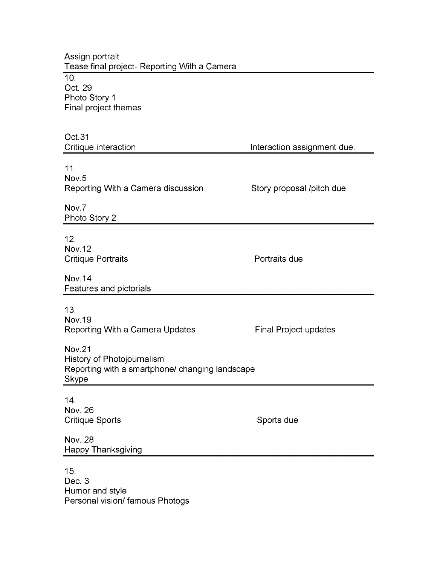Assign portrait Tease final project- Reporting With a Camera  $\overline{10}$ . Oct. 29 Photo Story 1 Final project themes Oct.31 Critique interaction **Interaction** Interaction assignment due. 11. Nov.5 Reporting With a Camera discussion Story proposal /pitch due Nov.7 Photo Story 2 12. Nov. 12 Critique Portraits **Portraits Portraits** due Nov. 14 Features and pictorials 13. Nov. 19 Reporting With a Camera Updates Final Project updates Nov.21 History of Photojournalism Reporting with a smartphone/ changing landscape Skype 14. Nov. 26 Critique Sports **Sports** Sports due Nov. 28 Happy Thanksgiving 15. Dec. 3

Humor and style Personal vision/ famous Photogs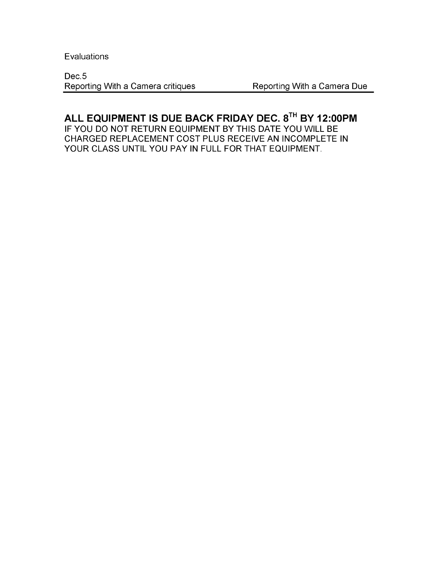**Evaluations** 

Dec.5 Reporting With a Camera critiques Reporting With a Camera Due

# **ALL EQUIPMENT IS DUE BACK FRIDAY DEC. 8™ BY 12:00PM**

IF YOU DO NOT RETURN EQUIPMENT BY THIS DATE YOU WILL BE CHARGED REPLACEMENT COST PLUS RECEIVE AN INCOMPLETE IN YOUR CLASS UNTIL YOU PAY IN FULL FOR THAT EQUIPMENT.